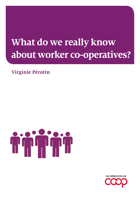# **What do we really know about worker co-operatives?**

### **Virginie Pérotin**



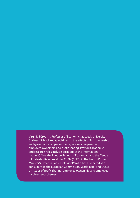Virginie Pérotin is Professor of Economics at Leeds University Business School and specialises in the effects of firm ownership and governance on performance, worker co-operatives, employee ownership and profit sharing. Previous academic and research roles include positions at the International Labour Office, the London School of Economics and the Centre d'Etude des Revenus et des Coûts (CERC) in the French Prime Minister's Office in Paris. Professor Pérotin has also acted as a consultant to the European Commission, World Bank and OECD on issues of profit-sharing, employee ownership and employee involvement schemes.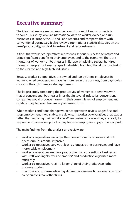### **Executive summary**

The idea that employees can run their own firms might sound unrealistic to some. This study looks at international data on worker-owned and run businesses in Europe, the US and Latin America and compares them with conventional businesses. It also reviews international statistical studies on the firms' productivity, survival, investment and responsiveness.

It finds that worker co-operatives represent a serious business alternative and bring significant benefits to their employees and to the economy. There are thousands of worker-run businesses in Europe, employing several hundred thousand people in a broad range of industries, from traditional manufacturing to the creative and high-tech industries.

Because worker co-operatives are owned and run by them, employees in worker-owned co-operatives have far more say in the business, from day-to-day concerns through to major strategic issues.

The largest study comparing the productivity of worker co-operatives with that of conventional businesses finds that in several industries, conventional companies would produce more with their current levels of employment and capital if they behaved like employee-owned firms.

When market conditions change worker cooperatives review wages first and keep employment more stable. In a downturn worker co-operatives drop wages rather than reducing their workforce. When business picks up they are ready to respond and can make up for lost pay because employees enjoy a share of profit.

The main findings from the analysis and review are:

- Worker co-operatives are larger than conventional businesses and not necessarily less capital intensive
- Worker co-operatives survive at least as long as other businesses and have more stable employment
- Worker cooperatives are more productive than conventional businesses, with staff working "better and smarter" and production organised more efficiently
- Worker co-operatives retain a larger share of their profits than other business models
- Executive and non-executive pay differentials are much narrower in worker co-operatives than other firms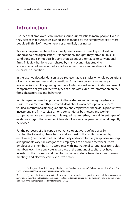### **Introduction**

The idea that employees can run firms sounds unrealistic to many people. Even if they accept that businesses owned and managed by their employees exist, most people still think of those enterprises as unlikely businesses.

Worker co-operatives have traditionally been viewed as small, specialised and undercapitalised organisations. It is commonly thought they thrive in unusual conditions and cannot possibly constitute a serious alternative to conventional firms. This view has long been shared by many economists studying labour-managed firms on the basis of economic theory and relatively limited empirical observation.

In the last two decades data on large, representative samples or whole populations of worker co-operatives and conventional firms have become increasingly available. As a result, a growing number of international economic studies present comparative analyses of the two types of firms with extensive information on the firms' characteristics and behaviour.

In this paper, information provided in these studies and other aggregate data is used to examine whether received ideas about worker co-operatives seem verified. International findings about pay and employment behaviour, productivity, investment and firm survival among conventional businesses and worker co-operatives are also reviewed. It is argued that together, these different types of evidence suggest that common ideas about worker co-operatives should urgently be revised.

For the purposes of this paper, a worker co-operative is defined as a firm that has the following characteristics<sup>1</sup>: all or most of the capital is owned by employees (members) whether individually and/or collectively (capital ownership arrangements vary); all categories of employees can become members<sup>2</sup>; most employees are members; in accordance with international co-operative principles, members each have one vote, regardless of the amount of capital they have invested in the business; and members vote on strategic issues in annual general meetings and elect the chief executive officer.

<sup>1</sup> In this paper I use interchangeably the terms "worker co-operative", "labour-managed firm" and "employee-owned firm" unless otherwise specified in the text.

<sup>2</sup> By this definition, a law practice for example is not a worker co-operative even if all the lawyers are partners, unless the other staff categories, such as secretaries, cleaners, etc can also be members. This is an important difference with the view proposed by Hansmann (1990).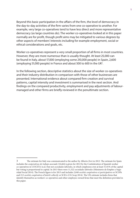Beyond this basic participation in the affairs of the firm, the level of democracy in the day-to-day activities of the firm varies from one co-operative to another. For example, very large co-operatives tend to have less direct and more representative democracy (as large countries do). The worker co-operatives looked at in this paper normally are for profit, though profit aims may be mitigated to various degrees by other aspects of members' interests including for example employment, social or ethical considerations and goals, etc.

Worker co-operatives represent a very small proportion of all firms in most countries. However, they are more numerous than is usually thought. At least 25,000 can be found in Italy, about 17,000 (employing some 210,000 people) in Spain, 2,600 (employing 51,000 people) in France and about 500 to 600 in the UK<sup>3</sup>.

In the following section, descriptive statistics about the size of worker co-operatives and their industry distribution in comparison with those of other businesses are presented. International evidence about compared firm creation and survival patterns, capital intensity and investment is summarised in the next section. And findings on the compared productivity, employment and pay adjustments of labourmanaged and other firms are briefly reviewed in the penultimate section.

<sup>3</sup> The estimate for Italy was communicated to the author by Alberto Zevi in 2012. The estimate for Spain includes the *cooperativas de trabajo asociado* (16,664 is given for 2012 by the Confederation of Spanish worker co-operatives in COCETA (n.d.) but not *sociedades laborales*, in which employees own at least 51.01% of the capital but voting is proportional to capital. In 2013 there were 11,322 *sociedades laborales* (Ministerio de Empleo y Seguridad Social 2014). The French figure is for 2013 and includes 2,040 *sociétés coopératives et participatives* or SCOPs and 212 *sociétés coopératives d'intérêt collectif*, or SCICs (CG Scop 2014). The UK estimate includes firms that identify themselves as workers' co-operatives and other employee-owned firms that meet the definition provided in this paper.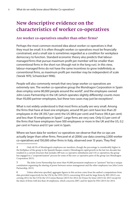### **New descriptive evidence on the characteristics of worker co-operatives**

#### **Are worker co-operatives smaller than other firms?**

Perhaps the most common received idea about worker co-operatives is that they must be small. It is often thought worker co-operatives must be financially constrained, and a small size is sometimes regarded as a condition for workplace democracy to function. Standard economic theory also predicts that labourmanaged firms that pursue maximum profit per member will be smaller than conventional firms in the short run (though not in the long run). In this view, labour-managed firms do not have the same incentives to grow indefinitely as conventional firms, as maximum profit per member may be independent of scale (Vanek 1970, Schweickart 1996).

People will also commonly remark that very large worker co-operatives are extremely rare. The worker co-operative group the Mondragon Corporation in Spain does employ some 80,000 people around the world<sup>4</sup>, and the employee-owned John Lewis Partnership in the UK (which operates slightly differently) counts more than 93,000 partner-employees, but these two cases may just be exceptions $^5$ .

What is not widely understood is that most firms actually are very small. Among the firms that have at least one employee, around 90 per cent have less than 20 employees in the UK (93.7 per cent) the US (89.6 per cent) and France (90.4 per cent) and less than 10 employees in Spain<sup>6</sup>. Large firms are very rare. Only 0.3 per cent of the firms that have employees have 500 employees or more in the UK and the US, 0.2 per cent in France and 0.1 per cent in Spain.

Where we have data for workers' co-operatives we observe that the co-ops are actually larger than other firms. Pencavel et al (2006) use data covering 2,000 worker co-operatives and 150,000 other firms in Italy, observed over 13 years. They find

<sup>4</sup> Only 40.3% of Mondragon's employees are members, though the percentage is considerably higher in the birthplace of the group in the Spanish Basque country (Mondragon's rapid growth in the last two decades has resulted in a current structure that includes 289 non-co-operative subsidiaries and 110 co-operatives; the group has engaged in a "cooperativization" process for some of the non-co-operative parts of the group (see Mondragon Corporation 2015).

<sup>5</sup> The John Lewis Partnership has more than 93,000 permanent employees or "partners" but has a unique constitution organising the sharing of power between senior management and the other employees (see John Lewis Partnership, 2015).

<sup>6</sup> Unless otherwise specified, aggregate figures in this section come from the author's computations from data provided respectively for the UK by the ONS (2015) concerning 2014 and for large firms by BIS (2012) concerning 2012; for the US by the US Census Bureau (2015) for 2012; for France by Insee (2015) for 2013 except for the share of firms with less than 20 employees, which concerns 2007; and for Spain by INE (2015) for 2014.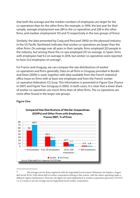that both the average and the median numbers of employees are larger for the co-operatives than for the other firms (for example, in 1994, the last year for their sample, average employment was 284 in the co-operatives and 228 in the other firms, and median employment 153 and 72 respectively in the two groups of firms).

Similarly, the data presented by Craig and Pencavel (1992) on the plywood industry in the US Pacific Northwest indicates that worker co-operatives are larger than the other firms. On average over all years in their sample, firms employed 233 people in the industry, but among these the co-ops employed 257 on average. In Spain, firms with employees had 9.2 on average in 2014, but worker co-operatives were reported to have 12.6 employees on average<sup>7</sup>.

For France and Uruguay, we can compare the size distributions of worker co-operatives and firms generally. Data on all firms in Uruguay provided in Burdín and Dean (2009) is used, together with data available from the French statistical office Insee on firms with at least one employee and from the French worker co-operative federation CG Scop. This information is presented in Figure One (France in 2007) and Figure Two (Uruguay in 2005). In both cases, it is clear that a lower share of worker co-operatives are micro-firms than of other firms. The co-operatives are more often found in the larger size groups.



#### **Figure One**

<sup>7</sup> The averages are for firms registered with the Seguridad Social system (Ministerio de Empleo y Seguridad Social 2014). Only about half of worker cooperatives belong to this system, with the others operating under a different regime (autónomos). However, the figure for total employment in worker cooperatives given by COCETA ( n. d.) seems to use the average size for Seguridad Social worker cooperatives.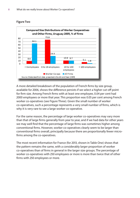

#### **Figure Two**

A more detailed breakdown of the population of French firms by size group, available for 2006, shows the difference persists if we select a higher cut-off point for firm size. Among French firms with at least one employee, 0.04 per cent had 2000 employees or more that year. This proportion was 0.05 per cent among French worker co-operatives (see Figure Three). Given the small number of worker co-operatives, such a percentage represents a very small number of firms, which is why it is very rare to see a large worker co-operative.

For the same reason, the percentage of large worker co-operatives may vary more than that of large firms generally from year to year, and if we had data for other years we may well find that the percentage of large firms was sometimes higher among conventional firms. However, worker co-operatives clearly seem to be larger than conventional firms overall, principally because there are proportionally fewer microfirms among the co-operatives.

The most recent information for France (for 2013, shown in Table One) shows that the pattern remains the same, with a considerably larger proportion of worker co-operatives than of firms in general in the larger size groups. The percentage of worker co-operatives with 250 employees or more is more than twice that of other firms with 250 employees or more.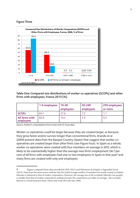#### **Figure Three**



#### **Table One: Compared size distributions of worker co-operatives (SCOPs) and other firms with employees, France 2013 (%)**

|                                    | 1-9 employees | $10 - 49$<br>employees | 50-249<br>employees | 250 employees<br>or more |
|------------------------------------|---------------|------------------------|---------------------|--------------------------|
| <b>SCOPS</b>                       | 64.1          | 27.6                   |                     |                          |
| <b>All firms with</b><br>employees | 82.9          | 14.2                   | 2.4                 | 0.5                      |

Source: Author's computations from Insee and CG Scop data

Worker co-operatives could be larger because they are created larger, or because they grow faster and/or survive longer than conventional firms. Arando et al (2009) present data from the Basque Country (Spain) that suggest that worker cooperatives are created larger than other firms (see Figure Four). In Spain as a whole, worker co-operatives were created with four members on average in 2013, which is likely to be substantially higher than the average new firm's employment (56.7 per cent of all firms with employees had one or two employees in Spain in that year<sup>8</sup> and many firms are created with only one employee).

<sup>8</sup> Figures computed from data provided by INE (2015) and Ministerio de Empleo y Seguridad Social (2014). Data from the same source indicate that the initial average number of members for newly created *sociedades laborales* is identical to that of worker cooperatives. However, the average size of all *sociedades laborales* (six people) is smaller than that of worker cooperatives, perhaps because the cooperatives are older on average—the sociedad laboral is a recent business form, which only took off in the late 1990s.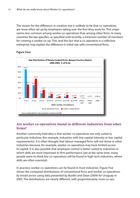The reason for the difference in creation size is unlikely to be that co-operatives are more often set up by employees taking over the firm they work for. This origin seems less common among worker co-operatives than among other firms. In many countries the law specifies, or specified until recently, a minimum number of members for creating a worker co-op. This, and the fact that a co-operative is a collective enterprise, may explain the difference in initial size with conventional firms.



#### **Figure Four**

#### **Are worker co-operatives found in different industries from other firms?**

Another commonly held idea is that worker co-operatives are only suited to particular industries (for example, industries with low capital intensity or low capital requirements). It is often thought that labour-managed firms will not thrive in other industries because, for example, worker co-operatives may have limited access to capital. It is also possible that employee control is better suited to industries in which skills are most important to firm performance (yet at the same time, many people seem to think few co-operatives will be found in high-tech industries, where skills are often essential).

In practice, worker co-operatives can be found in most industries. Figure Five shows the compared distributions of conventional firms and worker co-operatives by broad sector using data presented by Burdín and Dean (2009) for Uruguay in 2005. The distributions are clearly different, with proportionately more co-ops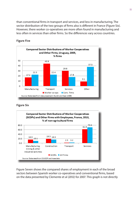than conventional firms in transport and services, and less in manufacturing. The sector distribution of the two groups of firms also is different in France (Figure Six). However, there worker co-operatives are more often found in manufacturing and less often in services than other firms. So the differences vary across countries.



#### **Figure Five**

#### **Figure Six**



Figure Seven shows the compared shares of employment in each of the broad sectors between Spanish worker co-operatives and conventional firms, based on the data presented by Clemente et al (2012) for 2007. This graph is not directly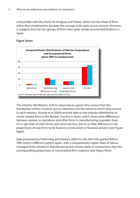comparable with the charts for Uruguay and France, which use the share of firms rather than employment, because the average scale varies across sectors. However, it suggests that the two groups of firms have quite similar sectoral distributions in Spain.

#### **Figure Seven**



The industry distribution of firms observed at a given time comes from the distribution of firm creations across industries and the extent to which they survive in each industry. Arando et al (2009) provide data on the industry distribution of newly created firms in the Basque Country in Spain, which show some differences between worker co-operatives and other firms in manufacturing (a greater share of co-ops than of other firms) and some services, but no or little difference in the proportions of new firms to be found in construction or financial services (see Figure Eight).

Data presented by Podivinsky and Stewart (2007) for the UK in the period 1976 to 1985 shows a different pattern again, with a comparatively higher share of labourmanaged firms created in manufacturing but a lower share in construction than the corresponding proportions of conventional firm creations (see Figure Nine).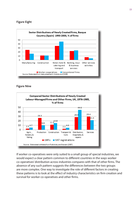#### **Figure Eight**



#### **Figure Nine**



If worker co-operatives were only suited to a small group of special industries, we would expect a clear pattern common to different countries in the ways worker co-operatives' distribution across industries compares with that of other firms. The absence of any such pattern suggests the differences between the two groups are more complex. One way to investigate the role of different factors in creating these patterns is to look at the effect of industry characteristics on firm creation and survival for worker co-operatives and other firms.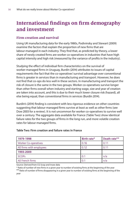### **International findings on firm demography and investment**

#### **Firm creation and survival**

Using UK manufacturing data for the early 1980s, Podivinsky and Stewart (2009) examine the factors that explain the proportion of new firms that are labour-managed in each industry. They find that, as predicted by theory, a lower share of newly created firms are worker co-operatives in industries that have high capital intensity and high risk (measured by the variance of profits in the industry).

Studying the effect of individual firm characteristics on the survival of worker-managed firms in Uruguay, Burdín (2014) attributes to issues of capital requirements the fact that the co-operatives' survival advantage over conventional firms is greater in services than in manufacturing and transport. However, he does not find that co-ops do less well in these sectors. In manufacturing and transport the risk of closure is the same in the two groups. Worker co-operatives survive longer than other firms overall when industry and starting wage, size and year of creation are taken into account, and this is due to their much lower closure risk (hazard), all else being equal, than conventional firms in services (Burdín 2014).

Burdín's (2014) finding is consistent with less rigorous evidence on other countries suggesting that labour-managed firms survive at least as well as other firms (see Dow 2003 for a review). It is not uncommon for worker co-operatives to survive well over a century. The aggregate data available for France (Table Two) show identical failure rates for the two groups of firms in the long run, and more volatile creation rates for labour-managed firms.

#### **Table Two: Firm creation and failure rates in France**

| 1979-1998                   | Birth rate* | Death rate** |
|-----------------------------|-------------|--------------|
| <b>Worker Co-operatives</b> | 0.16        | 0.11         |
| All firms with employees    | 0.12        | 0.11         |
| 1993-2009                   |             |              |
| <b>SCOPS</b>                | 0.1         | n/a          |
| All French firms            | 0.1         | n/a          |

Source: Derived from CG Scop and Insee data

\* Ratio of number of new firms in a given year to number of existing firms at the beginning of the year

\*\* Ratio of number of firms disappearing in a given year to number of existing firms at the beginning of the year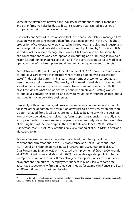Some of the differences between the industry distributions of labour-managed and other firms may also be due to historical factors that resulted in clusters of co-operatives set up in certain industries.

Podivinsky and Stewart (2009) observe that in the early 1980s labour-managed firm creation was more concentrated than firm creation in general in the UK. A higher proportion of co-operatives were created in the footwear and clothing industry and in paper, printing and publishing – two industries highlighted by Estrin et al (1987) as traditional for worker-managed firms in the UK. France also has traditionally had concentrations of worker co-operatives in printing and publishing following a historical tradition of anarchist co-ops – and in the construction sector as worker cooperatives benefitted from preferential treatment over government contracts.

With data on the Basque Country (Spain) Arando et al (2012) show that more worker co-operatives are formed in industries where more co-operatives exist. Pérotin (2006) finds a similar pattern in France: a larger number of worker co-operatives results in more being created. The paucity of information available in most countries about worker co-operatives creates barriers to entry, as entrepreneurs will often have little idea of what a co-operative is, or how to create one. Existing worker co-operatives provide an example and show to would-be entrepreneurs that labourmanaged firms can be viable businesses.

Familiarity with labour-managed firms where more are in operation also accounts for some of the geographical distribution of worker co-operatives. Where there are labour-managed firms, local banks are more likely to be familiar with the business form and co-operatives themselves may form supporting agencies. In the US, Israel and Spain, creations of new worker co-operatives are positively related to the number of existing firms of the same type in the area (Conte and Jones 1991, Russell and Hanneman 1992, Russell 1995, Arando et al 2009, Arando et al 2012, Díaz-Foncea and Marcuello 2015).

Worker co-operative creations are also more clearly counter-cyclical than conventional firm creations in the US, Israel, France and Spain (Conte and Jones 1991, Russell and Hanneman 1992, Russell 1995, Pérotin 2006, Arando et al 2009, Díaz-Foncea and Marcuello 2015)<sup>9</sup>. Increased unemployment (Pérotin 2006, Arando et al 2009, Díaz-Foncea and Marcuello 2015) may create a greater pool of potential entrepreneurs out of necessity. It may also generate opportunities as redundancy payments and sometimes unemployment benefit may be used with some tax advantage to set up new firms in some countries, as for example in France and Spain at different times in the last few decades.

<sup>9</sup> Udo Staber (1989) finds no evidence of counter-cyclicality for worker cooperative creations in Atlantic Canada, but the methodology used in that paper is less solid.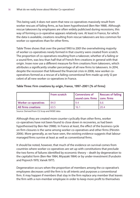This being said, it does not seem that new co-operatives massively result from worker rescues of failing firms, as has been hypothesised (Ben-Ner 1988). Although rescue takeovers by employees are often widely publicised during recessions, this way of forming a co-operative appears relatively rare. At least in France, for which the data is available, creations resulting from rescue takeovers are less common for worker co-operatives than for other firms.

Table Three shows that over the period 1993 to 2001 the overwhelming majority of worker co-operatives newly formed in that country were created from scratch. The proportion of co-operatives resulting from a takeover, whether of a failing or a sound firm, was less than half that of French firm creations in general with that origin. Insee now use a different measure for firm creations from takeovers, which attributes a significantly smaller percentage of all new firms to takeovers. In 2014, despite the recession that followed the financial crisis in 2008, new worker cooperatives formed as a rescue of a failing conventional firm made up only 12 per cebnt of all new worker co-operatives in France.

#### **Table Three: Firm creations by origin, France, 1997–2001 (% of firms)**

|                             | From scratch | <b>Conversions of</b><br>sound conv. firms I conv. firms | <b>Rescues of failing</b> |
|-----------------------------|--------------|----------------------------------------------------------|---------------------------|
| <b>Worker co-operatives</b> | 84.0         | 9.4                                                      | 6.6                       |
| All firms creations         | 63.5         | 16.1                                                     | 20.4                      |

Source: Derived from CG Scop and INSEE data

Although they are created more counter-cyclically than other firms, worker co-operatives have not been found to close down in recoveries, as had been hypothesised by Ben-Ner (1988). In France at least, the effect of the business cycle on firm closures is the same among worker co-operatives and other firms (Pérotin 2006). More generally, as we have seen, the existing evidence suggests that labourmanaged firms survive at least as well as conventional firms.

It should be noted, however, that much of the evidence on survival comes from countries where worker co-operatives are set up with constitutions that preclude the two forms of failures identified by economic theory – death by degeneration to the capitalist form (Ben-Ner 1984, Miyazaki 1984) or by under-investment (Furubotn and Pejovich 1970, Vanek 1977).

Degeneration occurs when the proportion of members among the co-operative's employees decreases until the firm is to all intents and purposes a conventional firm. It may happen if members that stay in the firm replace any member that leaves the firm with a non-member employee in order to keep more profit to themselves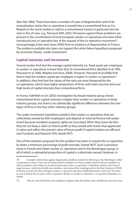(Ben-Ner 1984). There have been a number of cases of degeneration and of demutualisation (when the co-operative is turned into a conventional firm as it is floated on the stock market or sold to a conventional owner) in particular but not only in the US (see, e.g., Pencavel 2001, 2013). Provisions against these problems are present in the constitutions of most European worker co-operatives and were often introduced into co-operative law at the request of the co-operative movement<sup>10</sup>. Unsurprisingly, Estrin and Jones (1992) find no evidence of degeneration in France. The evidence available also does not support the other failure hypothesis proposed by economic theory--under-investment.

#### **Capital intensity and investment**

Several studies find that the average capital intensity (i.e. fixed assets per employee) in worker co-operatives is lower than that of conventional firms (Bartlett et al, 1992, Pencavel et al, 2006, Maietta and Sena, 2008). However, Pencavel et al (2006) find that in Italy the median capital per employee is higher in worker co-operatives<sup>11</sup>. In addition, they find that the values of the ratio are more dispersed for the co-operatives, which have higher proportions of firms with both very low and very high levels of capital intensity than conventional firms.

In France, Fakhfakh et al's (2012) investigation by broad industry group shows conventional firms' capital intensity is higher than worker co-operatives' in three industry groups, but there is no statistically significant difference between the two types of firms in the four other industry groups.

The under-investment hypothesis predicts that worker co-operatives that are collectively owned by their employees and depend on internal finance will underinvest because members' property rights are truncated. When they leave the firm they do not keep a claim on future profit as they would with shares that appreciate in value and reflect the present value of future profit if capital markets are efficient (see Furubotn and Pejovich 1970, Vanek 1977).

One of the solutions proposed for this problem has been to require the co-operative to retain a minimum percentage of profit annually (Vanek 1977). Such a provision exists in French and Italian worker co-operatives and in the Mondragon group, in all of which a substantial proportion of capital is collectively owned. However, in

<sup>10</sup> Examples of provisions against degeneration problems include the following: in the Mondragon worker co-operatives, at least 75 per cent of workers must be members; in France, profit is shared with non-members as well as members; and in Italy, tax incentives lead many worker co-operatives to distribute surplus in the form of wage increases--which also benefit non-members--and retain all the resulting profit in the firm (Alzola et al 2010). In France as in the UK, Italy and Spain, worker co-operatives also have traditionally had an "asset lock" by which in case of closure the net assets of the co-operative devolve to another co-operative, a co-operative institution or a charity.

<sup>11</sup> Fifty per cent of firms have less capital per employee than the median value, and fifty per cent have more.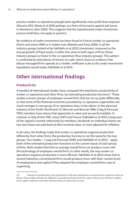practice worker co-operatives plough back significantly more profit than required (Navarra 2013, Alzola et al 2010) perhaps as a form of insurance against job losses in downturns (Zevi 2005). This suggests that the hypothesised under-investment process itself does not apply in practice.

No evidence of under-investment has been found in French worker co-operatives (Estrin and Jones 1998) or in Italian ones (Maietta and Sena 2008). In all the industry groups looked at by Fakhfakh et al (2012) investment, measured as the annual growth of fixed assets, is either the same in both types of firms (three industry groups) or faster in the co-operatives (four industry groups). This pattern is confirmed by estimations of returns to scale, which show no evidence that labour-managed firms operate at a smaller, inefficient scale as the under-investment hypothesis would imply (Fakhfakh et al 2012).

### **Other international findings**

#### **Productivity**

A handful of international studies have compared the total factor productivity of worker co-operatives and other firms, by estimating production functions $12$ . These studies concern groups of employee-owned firms that are set up quite differently, so that some of the financial incentives provided by co-operative organisation are much stronger in one group of co-operatives than in the others. In the plywood industry of the Pacific Northwest US (Berman and Berman 1989, Craig & Pencavel 1995) members have shares that appreciate in value and are partly tradable. In contrast, in Italy (Estrin 1991, Jones 2007) and France (Fakhfakh et al 2012) a large part of the capital is owned collectively by members, dividends on individual shares are low and shares are paid back at their nominal value, at most adjusted for inflation.

In all cases, the findings imply that worker co-operatives organise production differently from other firms: the production function is not the same for the two groups. Two studies – Craig and Pencavel (1995) and Fakhfakh et al (2012) – apply both of the estimated production functions to the current inputs of each group of firms. Both studies find that on average overall firms can produce more with the technology of employee-owned firms. In other words, the way worker cooperatives organise production is more efficient. Fakhfakh et al (2012) show that in several industries conventional firms would produce more with their current levels of employment and capital if they adopted the employee-owned firms' way of organising

<sup>12</sup> Total factor productivity is the productivity of the firm taking into account the firm's capital as well as its labour. These studies estimate the difference in production between the two types of firms once the firms' employment, capital, industries and other relevant factors are taken into account.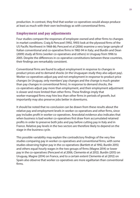production. In contrast, they find that worker co-operatives would always produce at least as much with their own technology as with conventional firms.

#### **Employment and pay adjustments**

Four studies compare the responses of employee-owned and other firms to changes in market conditions. Craig & Pencavel (1992, 1993) look at the plywood firms of the US Pacific Northwest in 1968-86; Pencavel et al (2006) examine a very large sample of Italian conventional and co-operative firms in 1982-94 in Italy; and Burdín and Dean (2009) study all firms (worker co-operatives and others) in Uruguay from 1996 to 2005. Despite the differences in co-operative constitutions between these countries, their findings are remarkably consistent.

Conventional firms are found to adjust employment in response to changes in product prices and to demand shocks (in the Uruguayan study they also adjust pay). Worker co-operatives adjust pay and not employment in response to product price changes (in Uruguay, only members' pay changes and the change is much greater than pay changes in conventional firms). In response to demand shocks, the co-operatives adjust pay more than employment, and their employment adjustment is slower and more limited than other firms. These findings imply that worker-managed firms may hire less than other firms in periods of growth, but importantly may also preserve jobs better in downturns.

It should be noted that no conclusion can be drawn from these results about the relative pay and employment levels in worker co-operatives and other firms, since pay includes profit in worker co-operatives. Anecdotal evidence also indicates that when business is bad worker co-operatives first draw from accumulated retained profits in order to preserve both jobs and pay before cutting pay in Italy and in France. Relative pay levels in the two sectors are therefore likely to depend on the stage in the business cycle.

This possible variability may explain the contradictory findings of the very few studies comparing pay in worker co-operatives and conventional firms, with some studies observing higher pay in the co-operatives (Bartlett et al 1992, Burdín 2015) and others equal hourly wages in the two groups of firms (Magne 2014) or lower pay in the co-operatives (Pencavel et al 2006, Clemente et al 2012). Burdín (2015) on Uruguay, Magne (2014) on France, and to a certain extent Clemente et al (2012) on Spain also observe that worker co-operatives are more egalitarian than conventional firms.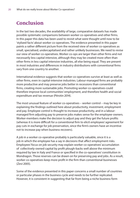### **Conclusion**

In the last two decades, the availability of large, comparative datasets has made possible systematic comparisons between worker co-operatives and other firms. In this paper this data has been used to revisit what were thought until now to be 'stylized facts' about worker co-operatives. The evidence presented in this paper paints a rather different picture from the received view of worker co-operatives as small, specialised, undercapitalised and rather unlikely businesses. We need to revise our view of worker co-operatives. Worker co-ops are larger than other firms and not necessarily less capital intensive, although they may be created more often than other firms in less capital intensive industries, all else being equal. They are present in most industries and differences in industry distributions with conventional firms vary from one country to another.

International evidence suggests that worker co-operatives survive at least as well as other firms, even in capital-intensive industries. Labour-managed firms are probably more productive and may preserve jobs better in recessions than conventional firms, creating more sustainable jobs. Promoting worker co-operatives could therefore improve local communities' employment, and therefore health and social expenditure and tax revenue (Pérotin 2014).

The most unusual feature of worker co-operatives – worker control – may be key in explaining the findings outlined here about productivity, investment, employment and pay. Employee control is thought to increase productivity, and in a labourmanaged firm adjusting pay to preserve jobs makes sense for the employee-owners. Worker-members make the decision to adjust pay and they get the future profits (whereas it is more difficult for a conventional firm to elicit employees' agreement for pay cuts in exchange for job preservation, since the firm's owners have an incentive not to increase pay when business recovers).

A job in a worker co-operative probably is particularly valuable, since it is a job in which the employee has a say in decisions that affect employment risks. Employees' focus on job security may explain worker co-operatives' accumulation of collectively-owned capital by profit plough-backs well above the minimum required by law in Italy and France or specified in the co-operatives' constitution in Mondragon. Those reserves can be drawn on for preserving pay and jobs. As a result, worker co-operatives keep more profit in the firm than conventional businesses (Zevi 2005).

Some of the evidence presented in this paper concerns a small number of countries or particular phases in the business cycle and needs to be further replicated. However, it is consistent in suggesting that far from being a niche business form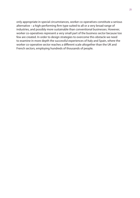only appropriate in special circumstances, worker co-operatives constitute a serious alternative – a high-performing firm type suited to all or a very broad range of industries, and possibly more sustainable than conventional businesses. However, worker co-operatives represent a very small part of the business sector because too few are created. In order to design strategies to overcome this obstacle we need to examine in more depth the successful experiences of Italy and Spain, where the worker co-operative sector reaches a different scale altogether than the UK and French sectors, employing hundreds of thousands of people.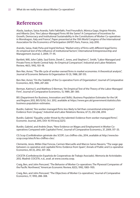### **References**

Alzola, Izaskun, Saioa Arando, Fathi Fakhfakh, Fred Freundlich, Mónica Gago, Virginie Pérotin, and Alberto Zevi, "Are Labour-Managed Firms All the Same? A Comparison of Incentives for Growth, Democracy and Institutional Sustainability in the Constitutions of Worker Co-operatives in Mondragon, Italy and France", Paper presented at the 15th World Congress of the International Association for the Economics of Participation (IAFEP) Paris, France, July 2010.

Arando, Saioa, Iñaki Peña and Ingrid Verheul, "Market entry of firms with different legal forms: An empirical test of the influence of institutional factors", International Entrepreneurship and Management Journal, 5, 2009, 77–95.

Bartlett, Will, John Cable, Saul Estrin, Derek C. Jones, and Stephen C. Smith, "Labor-Managed and Private Firms in North Central Italy: An Empirical Comparison", Industrial and Labor Relations Review, 46(1), 1992, 103–18.

Ben-Ner, Avner, "The life cycle of worker-owned firms in market economies: A theoretical analysis", Journal of Economic Behavior & Organization 10 (3), 1988, 287-313.

Ben-Ner, Avner, "On the Stability of the Co-operative Form of Organization", Journal of Comparative Economics, 8(3), 1984, 247-260.

Berman, Katrina V, and Matthew D Berman, "An Empirical Test of the Theory of the Labor-Managed Firm", Journal of Comparative Economics, 13, 1989, 281–300.

BIS (Department for Business, Innovation and Skills). Business Population Estimates for the UK and Regions 2012, BIS/12/92, Oct. 2012, available at https://www.gov.uk/government/statistics/bisbusiness-population-estimates.

Burdin, Gabriel, "Are worker-managed firms less likely to fail than conventional enterprises? Evidence from Uruguay", Industrial and Labor Relations Review, 67 (1), 202-238, 2014.

Burdín, Gabriel, "Equality under threat by the talented: Evidence from worker-managed firms", Economic Journal, 2015, DOI: 10.1111/ecoj.12272.

Burdίn, Gabriel, and Andrés Dean, "New Evidence on Wages and Employment in Worker Cooperatives Compared with Capitalist Firms", Journal of Comparative Economics, 37, 2009, 517–33.

CG Scop (Confédération générale des SCOP). Les chiffres-clés, 2014, available at http://www.lesscop.coop/sites/fr/les-chiffres-cles/.

Clemente, Jesús, Millán Díaz Foncea, Carmen Marcuello and Marcos Sanso Navarro, "The wage gap between co-operative and capitalist firms: Evidence from Spain", Annals of Public and Co-operative Economics, 83 (3), 2012, 337–356.

COCETA (Confederación Española de Cooperativas de Trabajo Asociado). Memoria de Actividades 2012. Madrid: COCETA, n.d., avail. at www.coceta.coop.

Craig, Ben, and John Pencavel, "The Behavior of Worker Co-operatives: The Plywood Companies of the Pacific Northwest," American Economic Review, 82(5), 1992, 1083–1105.

Craig, Ben, and John Pencavel, "The Objectives of Worker Co-operatives," Journal of Comparative Economics, 17, 1993, 288–308.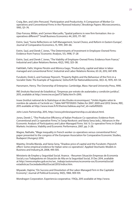Craig, Ben, and John Pencavel, "Participation and Productivity: A Comparison of Worker Cooperatives and Conventional Firms in the Plywood Industry", Brookings Papers: Microeconomics, 1995, 121–74.

Díaz-Foncea, Millán, and Carmen Marcuello, "Spatial patterns in new firm formation: Are cooperatives different?" Small Business Economics 44, 2015, 171–187.

Estrin, Saul, "Some Reflections on Self-Management, Social Choice, and Reform in Eastern Europe", Journal of Comparative Economics, 15, 1991, 349–66.

Estrin, Saul, and Derek C Jones, "The Determinants of Investment in Employee-Owned Firms: Evidence from France," Economic Analysis, 1(1), 1998, 17–28

Estrin, Saul, and Derek C Jones, "The Viability of Employee-Owned Firms: Evidence from France," Industrial and Labor Relations Review, 45(2), 1992, 323–38.

Fakhfakh, Fathi, Virginie Pérotin and Mónica Gago, "Productivity, capital and labor in labormanaged and conventional firms", Industrial and Labor Relations Review, 65 (4), 2012, 847-878.

Furubotn, Eirek G, and Svetozar Pejovich, "Property Rights and the Behaviour of the Firm in a Socialist State: The Example of Yugoslavia," Zeitschrift für Nationalökonomie, 30(3–4), 1970, 431–54.

Hansmann, Henry. The Ownership of Enterprise. Cambridge, Mass: Harvard University Press, 1990.

INE (Insituto Nacional de Estadística). "Empresas por estrato de asalariados y condición jurídica", 2015, available at http://www.ine.es/jaxiT3/Tabla.htm?t=299).

Insee (Institut national de la Statistique et des Etudes économiques). "Unités légales selon le nombre de salariés et l'activité en..", Table NATTEF09203 (Tables for 2007, 2009 and 2013) Sirene, REE, 2015 available at http://www.insee.fr/fr/themes/tableau.asp?ref\_id=nattef09203.

John Lewis Partnership, 2015, http://www.johnlewispartnership.co.uk/about.html.

Jones, Derek C, "The Productive Efficiency of Italian Producer Co-operatives: Evidence from Conventional and Co-operative Firms," in Sonja Novkovic and Vania Sena (eds.), Advances in the Economic Analysis of Participatory and Labor-Managed Firms. Vol. 9, Co-operative Firms in Global Markets: Incidence, Viability and Economic Performance, 2007, pp. 3–28.

Magne, Nathalie, "Wage inequality in French worker co-operatives versus conventional firms", paper presented to the congress of the European Association for Comparative Economic Studies, Budapest (Hungary) 2014.

Maietta, Ornella Wanda, and Vania Sena, "Shadow price of capital and the Furubotn–Pejovich effect: Some empirical evidence for Italian wine co-operatives", Applied Stochastic Models in Business and Industry,24, 2008, 495-505.

Ministerio de Empleo y Seguridad Social. Avance. –Resumen Situación Empresas de Economía Social y sus Trabajadores en Situación de Alta en la Seguridad Social, 31 Dec 2014, available at http://www.empleo.gob.es/es/sec\_trabajo/autonomos/economia-soc/EconomiaSocial/ estadisticas/SociedadesAltaSSocial/2013/indice.htm.

Miyazaki, Hajime, "On Success and Dissolution of the Labor-Managed Firm in the Capitalist Economy", Journal of Political Economy, 94(5), 1984, 909-931.

Mondragon Corporation. Experiencia cooperativa / FAQs, 2015 available at http://www.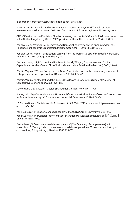mondragon-corporation.com/experiencia-cooperativa/faqs/.

Navarra, Cecilia, "How do worker co-operatives stabilize employment? The role of profit reinvestment into locked assets", WP 1307, Department of Economics, Namur University, 2013.

ONS (Office for National Statistics). "Analysis showing the count of VAT and/or PAYE based enterprises in the United Kingdom by UK SIC 2007", provided at the author's request on 31 March 2015.

Pencavel, John, "Worker Co-operatives and Democratic Governance", in Anna Grandori, ed., Handbook of Economic Organization (Northampton, Mass: Edward Elgar, 2013).

Pencavel, John, Worker Participation: Lessons from the Worker Co-ops of the Pacific Northwest. New York, NY: Russell Sage Foundation, 2001.

Pencavel, John, Luigi Pistaferri and Fabiano Schivardi, "Wages, Employment and Capital in Capitalist and Worker-Owned Firms," Industrial and Labor Relations Review, 60(1), 2006, 23–44.

Pérotin, Virginie, "Worker Co-operatives: Good, Sustainable Jobs in the Community", Journal of Entrepreneurial and Organizational Diversity, 2 (2), 2014, 34-47.

Pérotin, Virginie, "Entry, Exit and the Business Cycle: Are Co-operatives Different?" Journal of Comparative Economics, 34, 2006, 295–316.

Schweickart, David. Against Capitalism. Boulder, Col.: Westview Press, 1996.

Staber, Udo, "Age-Dependence and Historical Effects on the Failure Rates of Worker Co-operatives: An Event-History Analysis," Economic and Industrial Democracy, 10, 1989, 59–80.

US Census Bureau. Statistics of US Businesses (SUSB), Main, 2015, available at http://www.census. gov/econ/susb/

Vanek, Jaroslav, The Labor-Managed Economy. Ithaca, NY: Cornell University Press, 1977. Vanek, Jaroslav. The General Theory of Labor-Managed Market Economies. Ithaca, NY: Cornell University Press, 1970.

Zevi, Alberto, "Il finanziamento delle co-operative," [The financing of co-operatives] in E Mazzoli and S. Zamagni, Verso una nuova storia della cooperazione [Towards a new history of cooperation], Bologna (Italy), Il Mulino, 2005, 293–332.